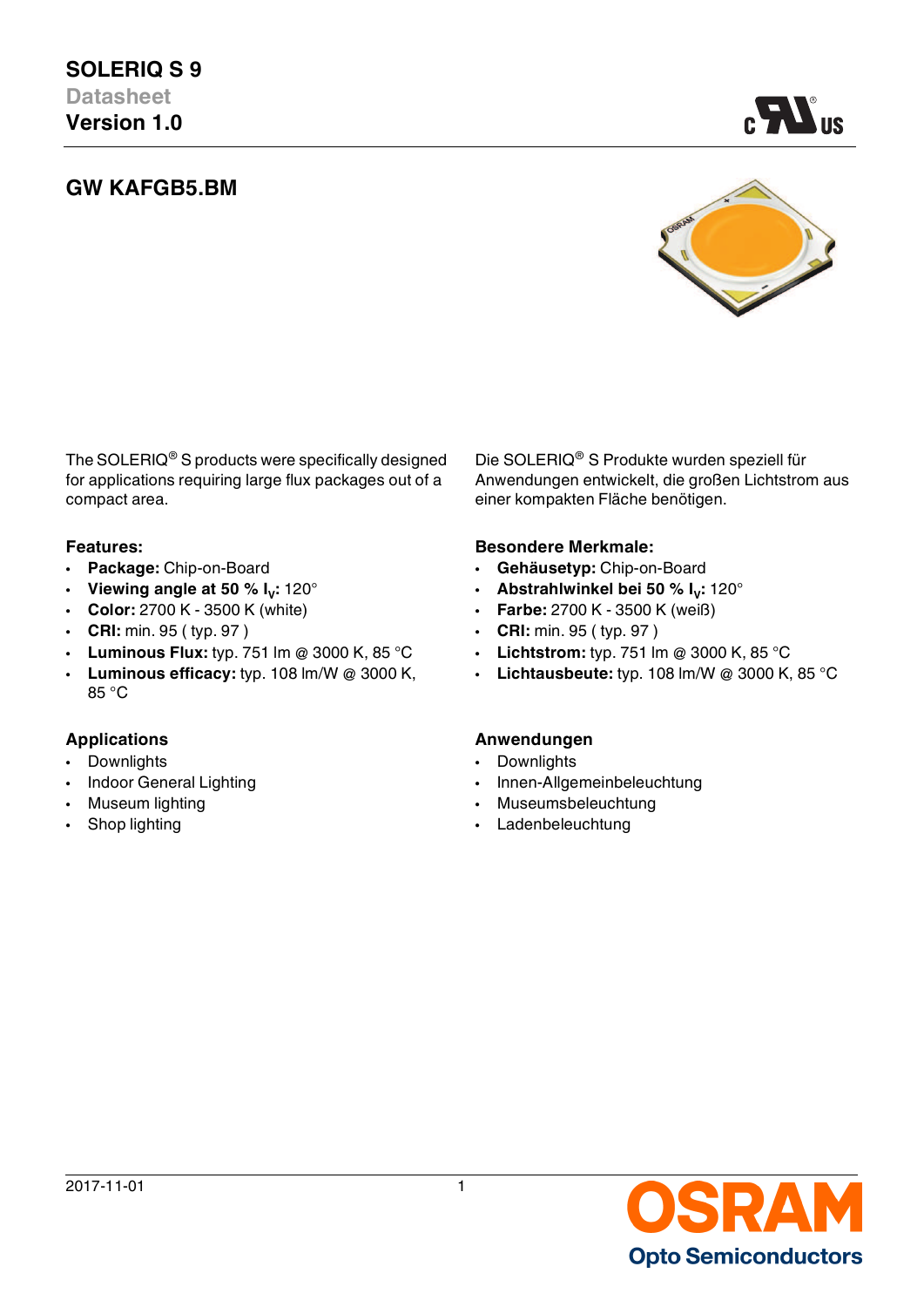# **GW KAFGB5.BM**



AV.

The SOLERIQ® S products were specifically designed for applications requiring large flux packages out of a compact area.

- 
- **Viewing angle at 50 % I<sub>V</sub>: 120°<br>Color: 2700 K 3500 K (white)**
- **Color:** 2700 K 3500 K (white) **Farbe:** 2700 K 3500 K (weiß)
- **CRI:** min. 95 ( typ. 97 ) **CRI:** min. 95 ( typ. 97 )
- **Luminous Flux:** typ. 751 lm @ 3000 K, 85 °C **Lichtstrom:** typ. 751 lm @ 3000 K, 85 °C
- **Luminous efficacy:** typ. 108 lm/W @ 3000 K, 85 °C

- Downlights  **Downlights**
- 
- 
- 

Die SOLERIQ® S Produkte wurden speziell für Anwendungen entwickelt, die großen Lichtstrom aus einer kompakten Fläche benötigen.

### **Features: Besondere Merkmale:**

- **Package:** Chip-on-Board **Gehäusetyp:** Chip-on-Board
	- **:** 120° **Abstrahlwinkel bei 50 % I<sup>V</sup> :** 120°
		-
		-
		-
		- **Lichtausbeute:** typ. 108 lm/W @ 3000 K, 85 °C

### **Applications Anwendungen**

- 
- Indoor General Lighting  **Innen-Allgemeinbeleuchtung**
- Museum lighting  **Museumsbeleuchtung**
- Shop lighting  **Ladenbeleuchtung**

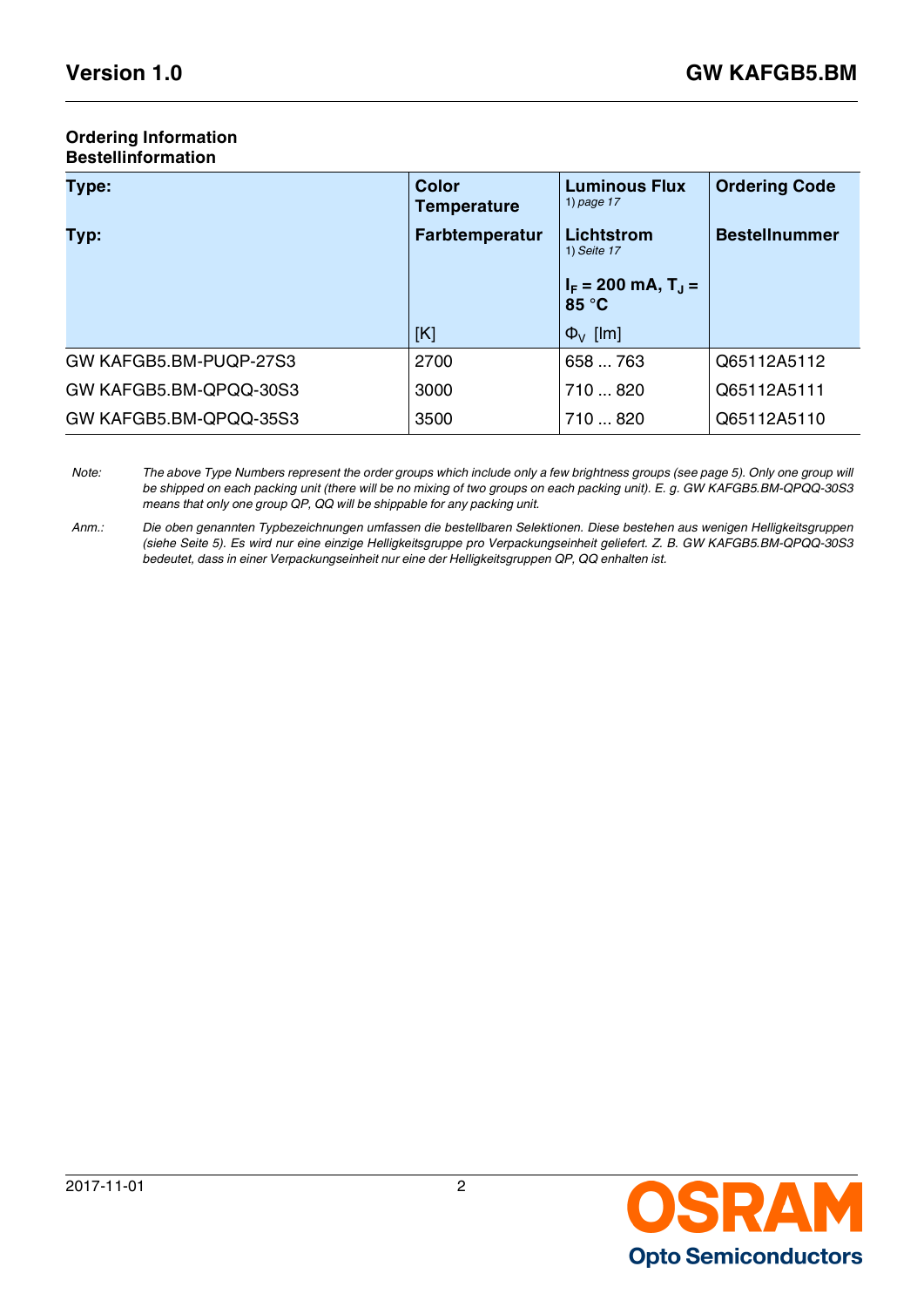### **Ordering Information Bestellinformation**

| Type:                  | <b>Color</b><br><b>Temperature</b> | <b>Luminous Flux</b><br>1) page $17$      | <b>Ordering Code</b> |  |
|------------------------|------------------------------------|-------------------------------------------|----------------------|--|
| Typ:                   | <b>Farbtemperatur</b>              | Lichtstrom<br>1) Seite 17                 | <b>Bestellnummer</b> |  |
|                        |                                    | $I_F$ = 200 mA, T <sub>J</sub> =<br>85 °C |                      |  |
|                        | [K]                                | $\Phi_{V}$ [lm]                           |                      |  |
| GW KAFGB5.BM-PUQP-27S3 | 2700                               | 658  763                                  | Q65112A5112          |  |
| GW KAFGB5.BM-QPQQ-30S3 | 3000                               | 710  820                                  | Q65112A5111          |  |
| GW KAFGB5.BM-QPQQ-35S3 | 3500                               | 710820                                    | Q65112A5110          |  |

*Note: The above Type Numbers represent the order groups which include only a few brightness groups (see page [5](#page-4-0)). Only one group will be shipped on each packing unit (there will be no mixing of two groups on each packing unit). E. g. GW KAFGB5.BM-QPQQ-30S3 means that only one group QP, QQ will be shippable for any packing unit.*

*Anm.: Die oben genannten Typbezeichnungen umfassen die bestellbaren Selektionen. Diese bestehen aus wenigen Helligkeitsgruppen (siehe Seite [5](#page-4-1)). Es wird nur eine einzige Helligkeitsgruppe pro Verpackungseinheit geliefert. Z. B. GW KAFGB5.BM-QPQQ-30S3 bedeutet, dass in einer Verpackungseinheit nur eine der Helligkeitsgruppen QP, QQ enhalten ist.*

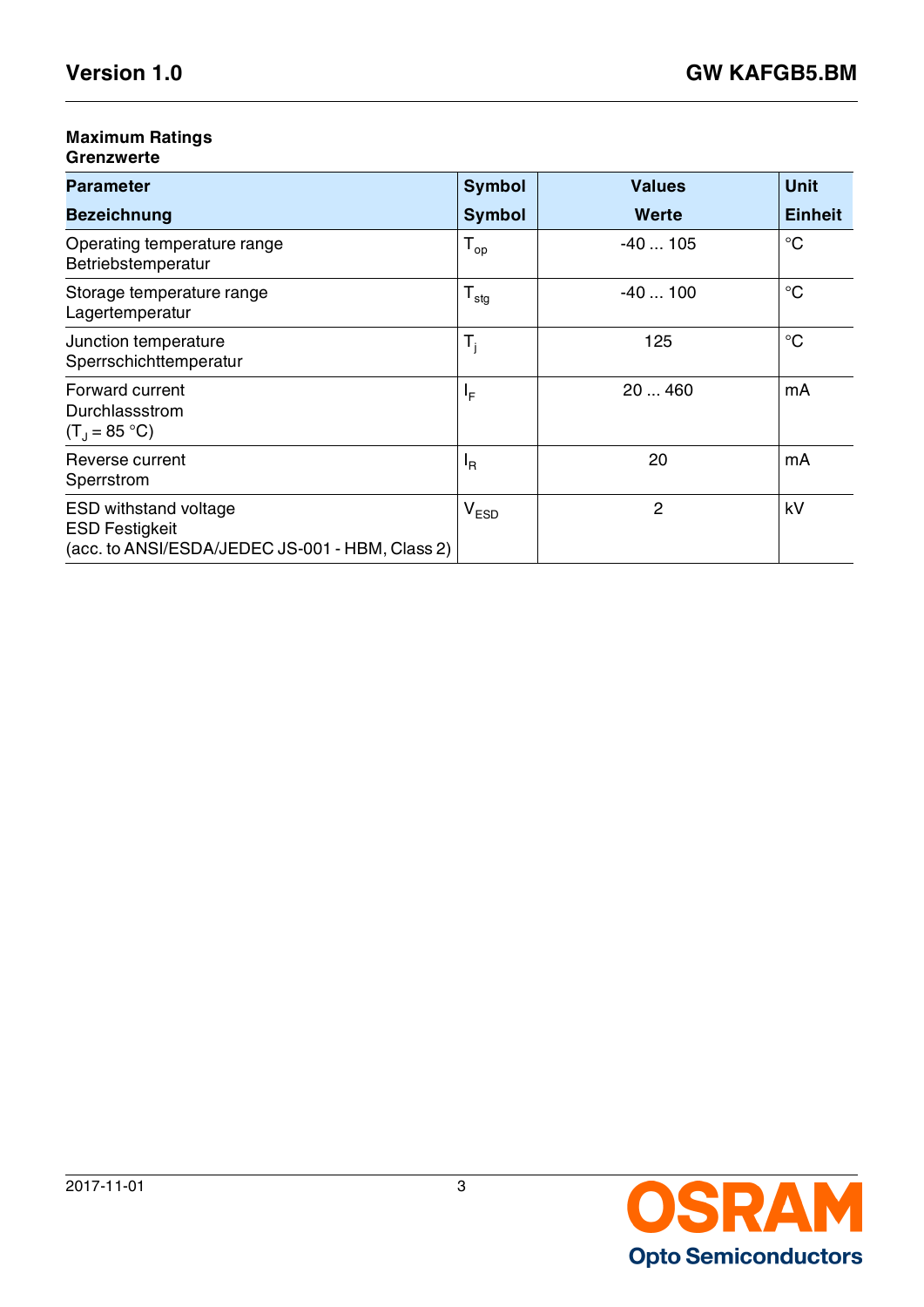## **Maximum Ratings**

### **Grenzwerte**

| <b>Parameter</b>                                                                                         | <b>Symbol</b>    | <b>Values</b> | <b>Unit</b>    |
|----------------------------------------------------------------------------------------------------------|------------------|---------------|----------------|
| <b>Bezeichnung</b>                                                                                       | <b>Symbol</b>    | Werte         | <b>Einheit</b> |
| Operating temperature range<br>Betriebstemperatur                                                        | $T_{op}$         | $-40105$      | $^{\circ}C$    |
| Storage temperature range<br>Lagertemperatur                                                             | $T_{\text{stg}}$ | $-40100$      | $^{\circ}C$    |
| Junction temperature<br>Sperrschichttemperatur                                                           | $T_i$            | 125           | $^{\circ}C$    |
| Forward current<br>Durchlassstrom<br>$(T_1 = 85 °C)$                                                     | ΙF               | 20  460       | mA             |
| Reverse current<br>Sperrstrom                                                                            | $I_R$            | 20            | mA             |
| <b>ESD withstand voltage</b><br><b>ESD Festigkeit</b><br>(acc. to ANSI/ESDA/JEDEC JS-001 - HBM, Class 2) | $V_{ESD}$        | 2             | kV             |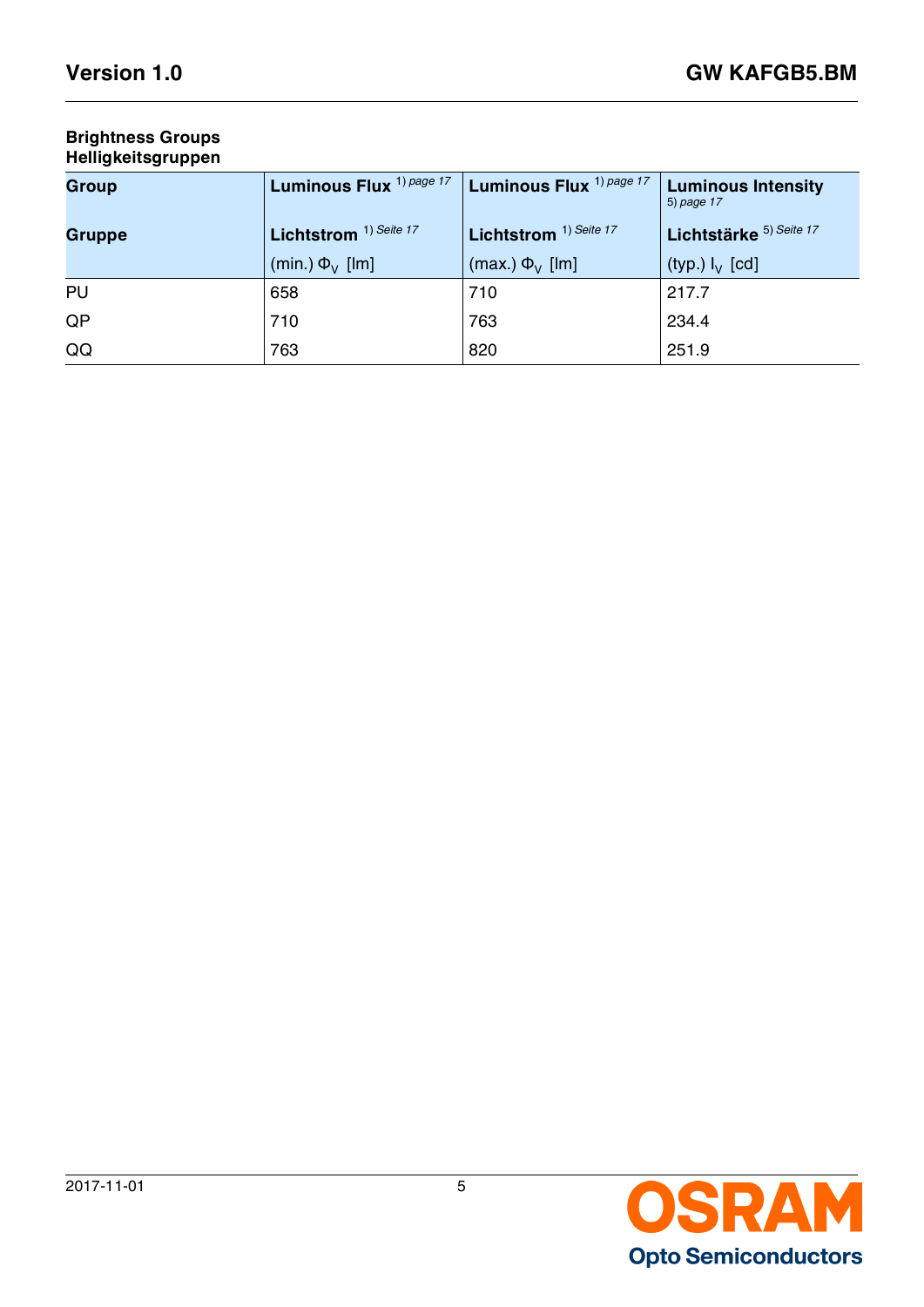### **Brightness Groups Helligkeitsgruppen**

<span id="page-4-1"></span><span id="page-4-0"></span>

| <b>Group</b>  | Luminous Flux <sup>1) page 17</sup> | Luminous Flux <sup>1) page 17</sup> | <b>Luminous Intensity</b><br>5) page 17 |
|---------------|-------------------------------------|-------------------------------------|-----------------------------------------|
| <b>Gruppe</b> | Lichtstrom <sup>1)</sup> Seite 17   | Lichtstrom <sup>1)</sup> Seite 17   | Lichtstärke 5) Seite 17                 |
|               | (min.) $\Phi_{V}$ [lm]              | (max.) $\Phi_{V}$ [lm]              | (typ.) $I_V$ [cd]                       |
| PU            | 658                                 | 710                                 | 217.7                                   |
| QP            | 710                                 | 763                                 | 234.4                                   |
| QQ            | 763                                 | 820                                 | 251.9                                   |

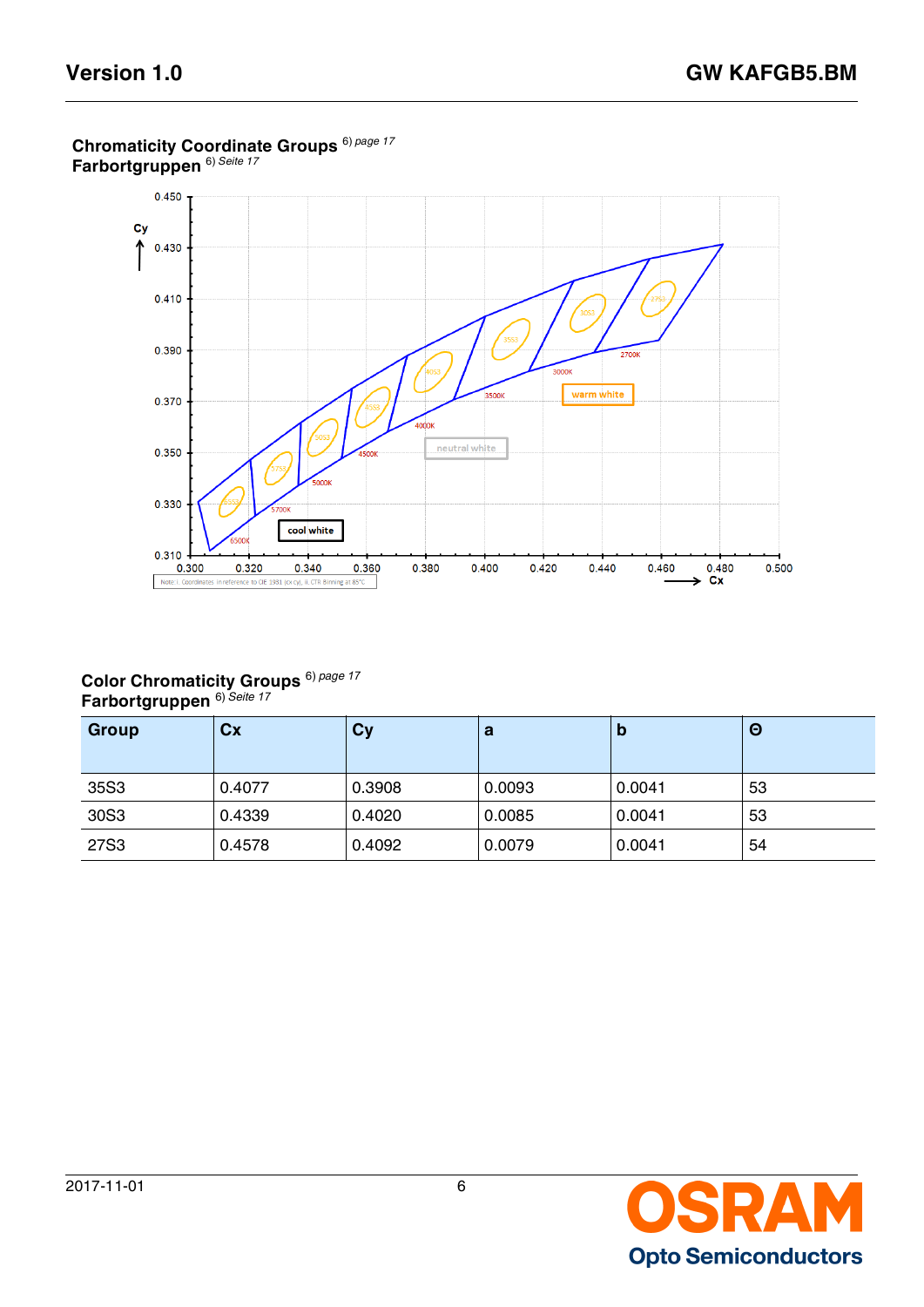

## **Chromaticity Coordinate Groups** 6) *[page 17](#page-16-4)* **Farbortgruppen** 6) *[Seite 17](#page-16-5)*

### **Color Chromaticity Groups Farbortgruppen**  6) *Seite 17* 6) *page 17*

| Group | Cx     | <b>Cy</b> | a      | Ю      | Θ  |
|-------|--------|-----------|--------|--------|----|
| 35S3  | 0.4077 | 0.3908    | 0.0093 | 0.0041 | 53 |
| 30S3  | 0.4339 | 0.4020    | 0.0085 | 0.0041 | 53 |
| 27S3  | 0.4578 | 0.4092    | 0.0079 | 0.0041 | 54 |

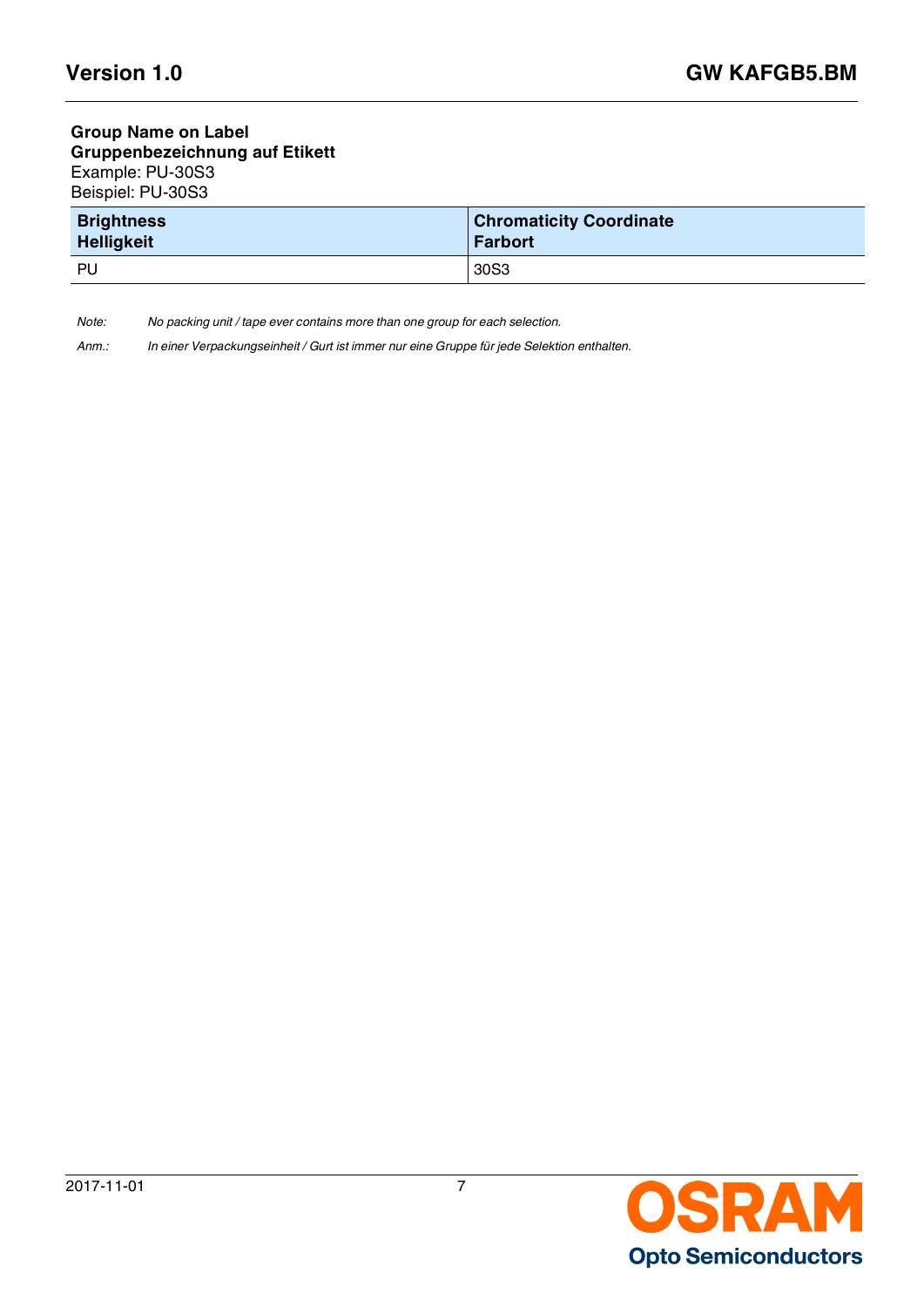### **Group Name on Label Gruppenbezeichnung auf Etikett** Example: PU-30S3 Beispiel: PU-30S3

| <b>Brightness</b> | <b>Chromaticity Coordinate</b> |
|-------------------|--------------------------------|
| <b>Helligkeit</b> | <b>Farbort</b>                 |
| PU                | 30S3                           |

*Note: No packing unit / tape ever contains more than one group for each selection.*

*Anm.: In einer Verpackungseinheit / Gurt ist immer nur eine Gruppe für jede Selektion enthalten.*

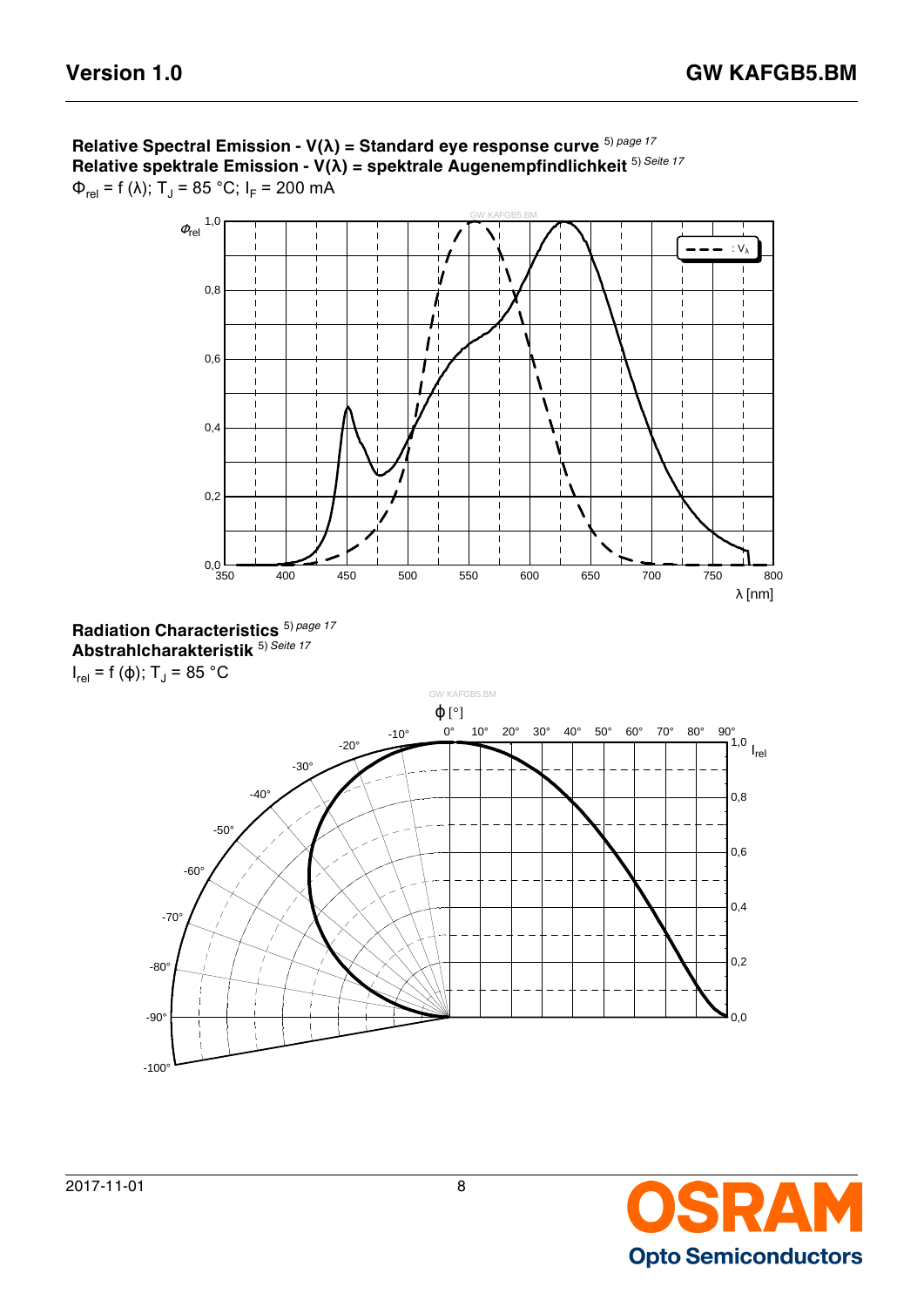

**Relative Spectral Emission - V(λ) = Standard eye response curve** 5) *[page 17](#page-16-2)* **Relative spektrale Emission - V(λ) = spektrale Augenempfindlichkeit** 5) *[Seite 17](#page-16-3)* Φ<sub>rel</sub> = f (λ); T<sub>J</sub> = 85 °C; I<sub>F</sub> = 200 mA





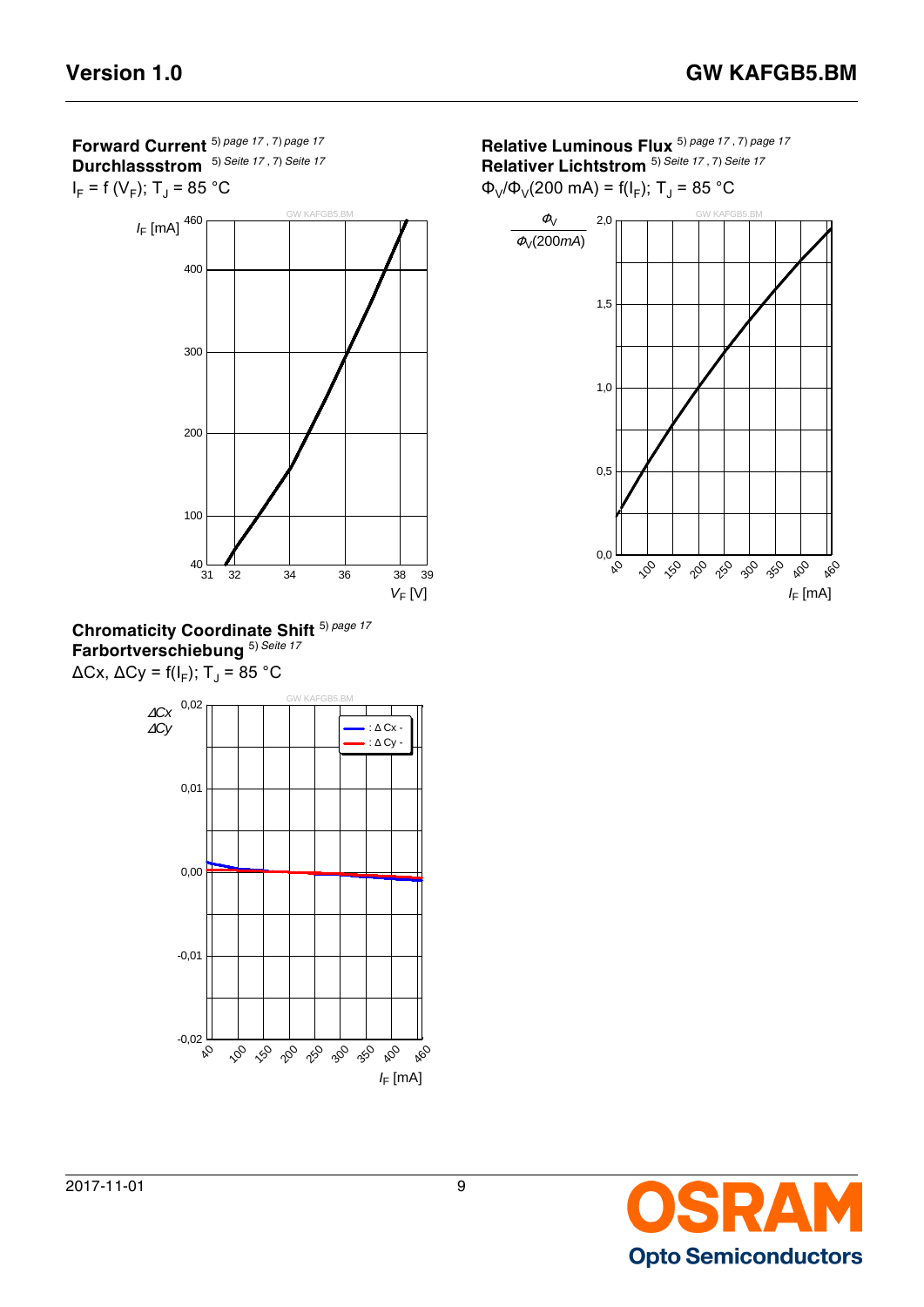**Forward Current** 5) *[page 17](#page-16-2)* , 7) *[page 17](#page-16-6)* **Durchlassstrom** 5) *[Seite 17](#page-16-3)* , 7) *[Seite 17](#page-16-7)*







**Relative Luminous Flux** 5) *[page 17](#page-16-2)* , 7) *[page 17](#page-16-6)* **Relativer Lichtstrom** 5) *[Seite 17](#page-16-3)* , 7) *[Seite 17](#page-16-7)*

 $Φ<sub>V</sub>/Φ<sub>V</sub>(200 mA) = f(I<sub>F</sub>); T<sub>J</sub> = 85 °C$ 



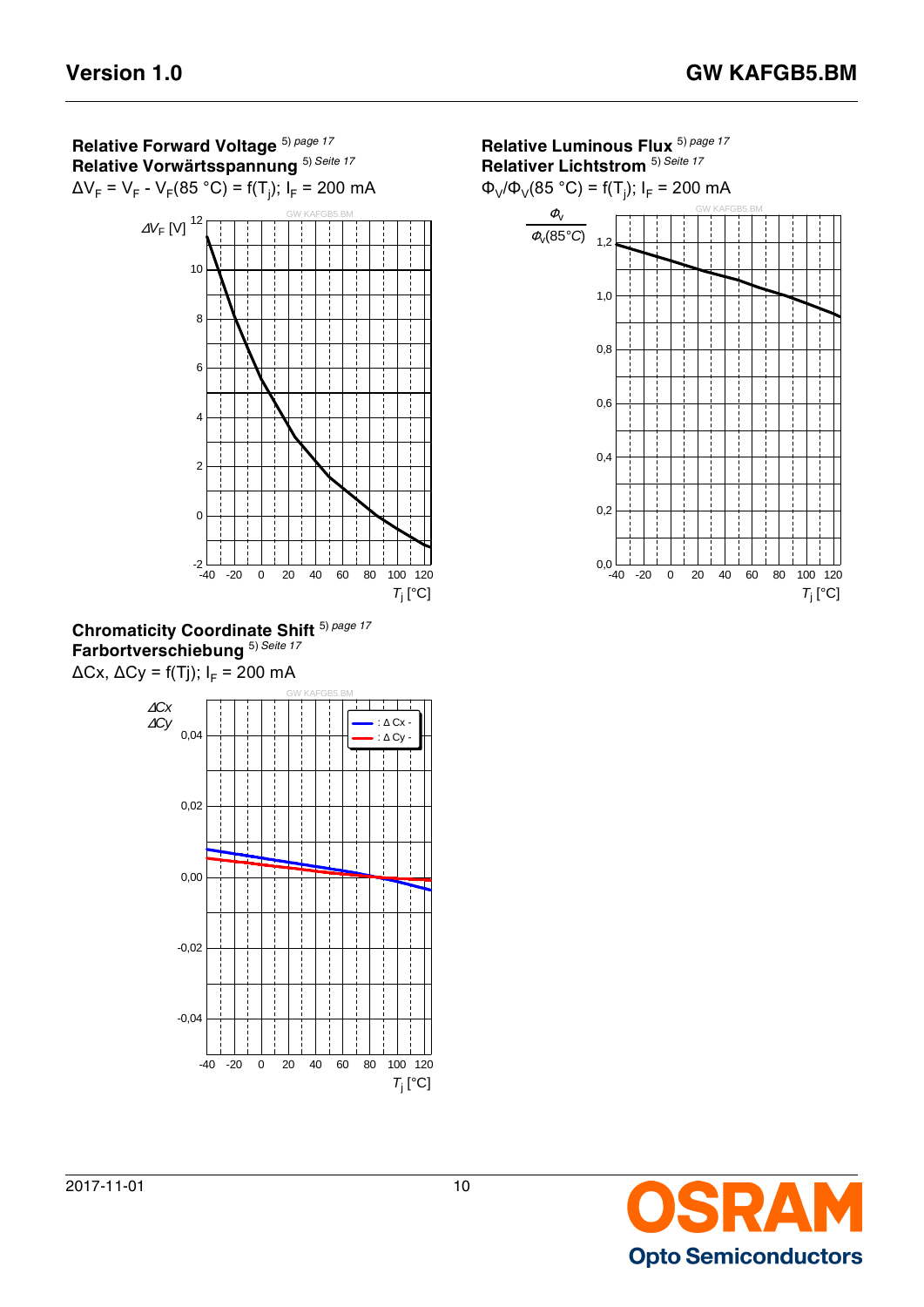

ΔCx, ΔCy = f(Tj); I<sup>F</sup> = 200 mA



**Relative Luminous Flux** 5) *[page 17](#page-16-2)* **Relativer Lichtstrom** 5) *[Seite 17](#page-16-3)*

Φ<sub>V</sub>/Φ<sub>V</sub>(85 °C) = f(T<sub>j</sub>); I<sub>F</sub> = 200 mA



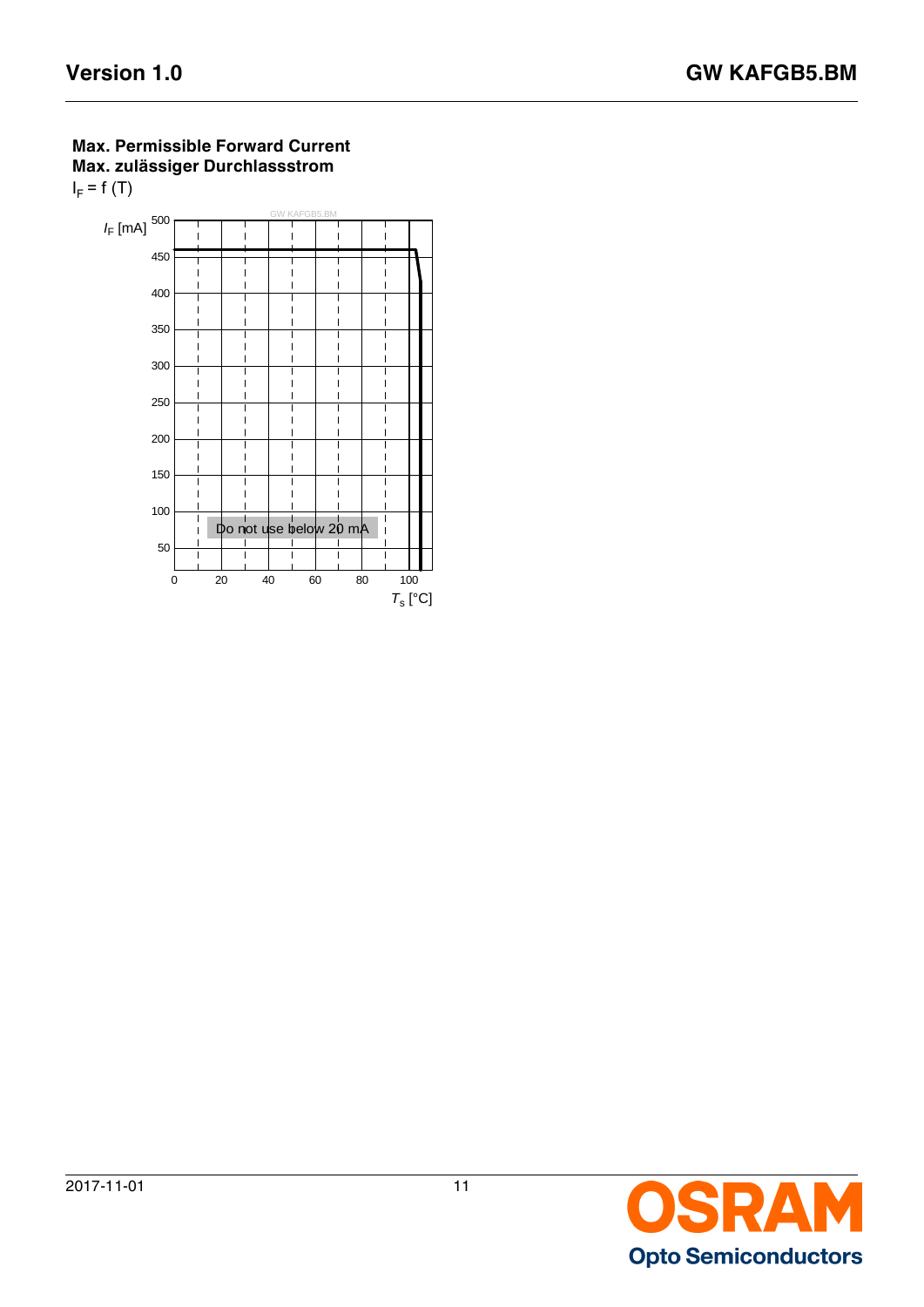## **Max. Permissible Forward Current Max. zulässiger Durchlassstrom**   $I_F$  = f (T)



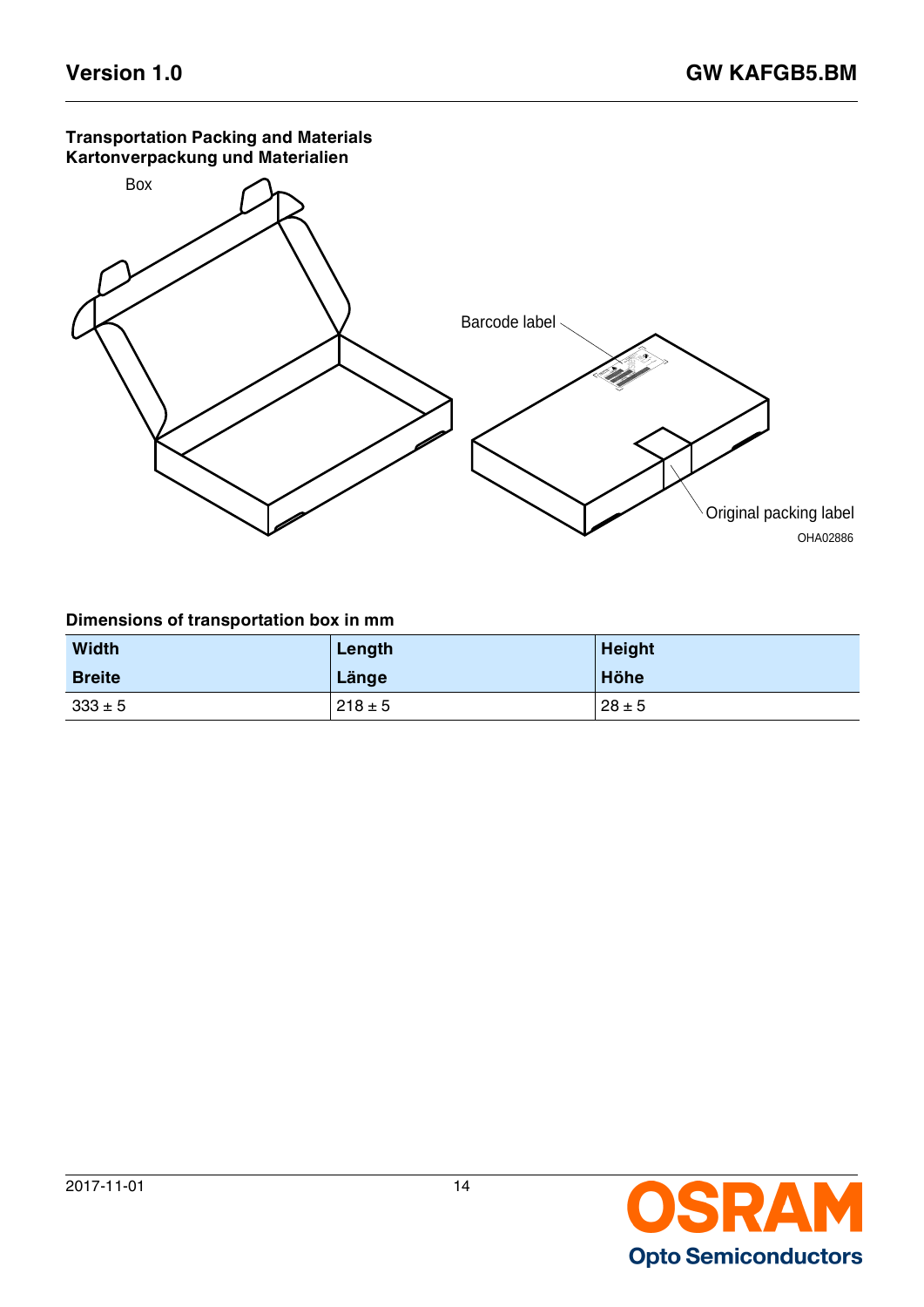### **Transportation Packing and Materials Kartonverpackung und Materialien**



## **Dimensions of transportation box in mm**

| <b>Width</b>  | Length      | <b>Height</b> |
|---------------|-------------|---------------|
| <b>Breite</b> | Länge       | Höhe          |
| $333 \pm 5$   | $218 \pm 5$ | $28 \pm 5$    |

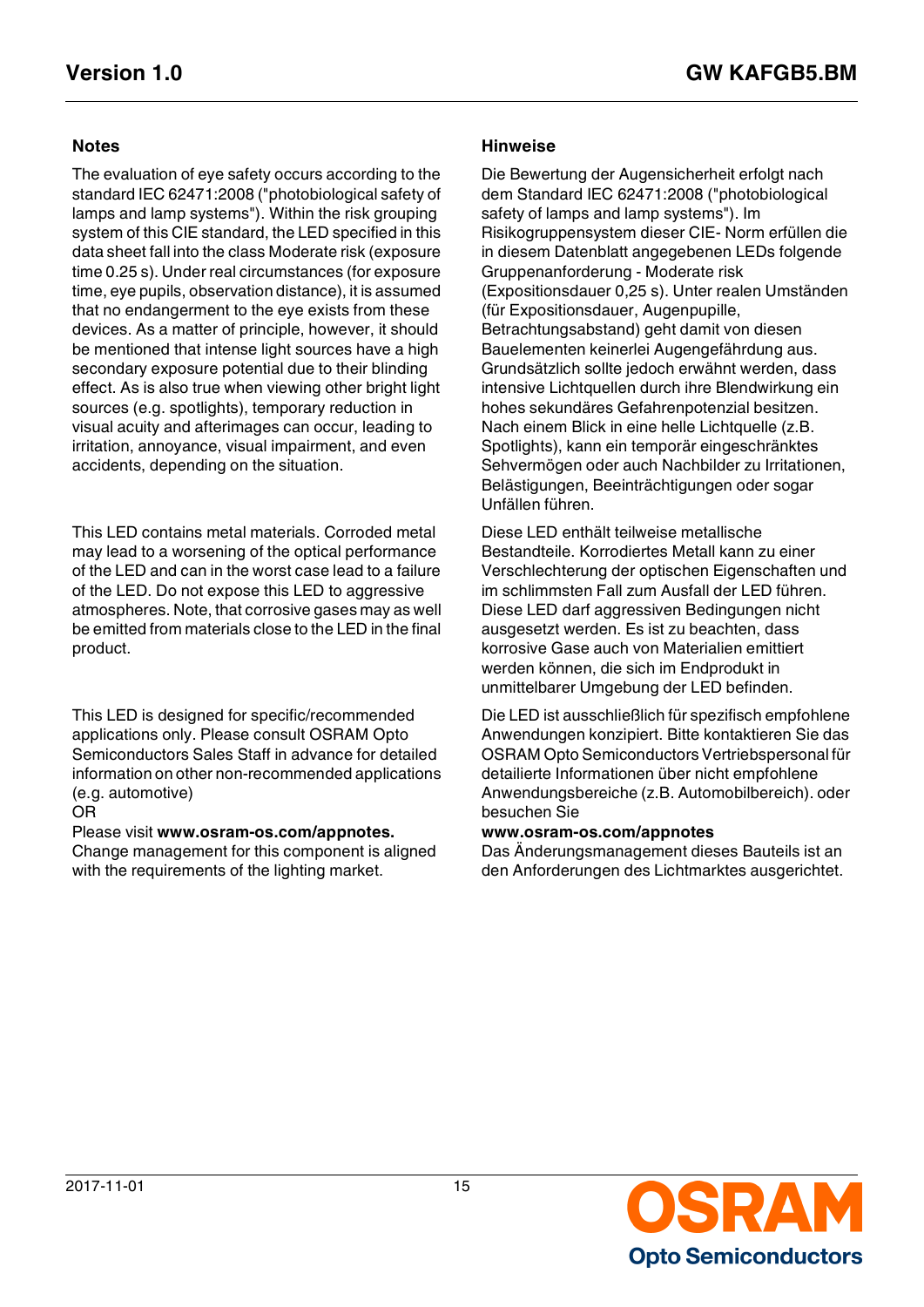The evaluation of eye safety occurs according to the standard IEC 62471:2008 ("photobiological safety of lamps and lamp systems"). Within the risk grouping system of this CIE standard, the LED specified in this data sheet fall into the class Moderate risk (exposure time 0.25 s). Under real circumstances (for exposure time, eye pupils, observation distance), it is assumed that no endangerment to the eye exists from these devices. As a matter of principle, however, it should be mentioned that intense light sources have a high secondary exposure potential due to their blinding effect. As is also true when viewing other bright light sources (e.g. spotlights), temporary reduction in visual acuity and afterimages can occur, leading to irritation, annoyance, visual impairment, and even accidents, depending on the situation.

This LED contains metal materials. Corroded metal may lead to a worsening of the optical performance of the LED and can in the worst case lead to a failure of the LED. Do not expose this LED to aggressive atmospheres. Note, that corrosive gases may as well be emitted from materials close to the LED in the final product.

This LED is designed for specific/recommended applications only. Please consult OSRAM Opto Semiconductors Sales Staff in advance for detailed information on other non-recommended applications (e.g. automotive)

### OR

Please visit **www.osram-os.com/appnotes.** Change management for this component is aligned with the requirements of the lighting market.

### **Notes Hinweise**

Die Bewertung der Augensicherheit erfolgt nach dem Standard IEC 62471:2008 ("photobiological safety of lamps and lamp systems"). Im Risikogruppensystem dieser CIE- Norm erfüllen die in diesem Datenblatt angegebenen LEDs folgende Gruppenanforderung - Moderate risk (Expositionsdauer 0,25 s). Unter realen Umständen (für Expositionsdauer, Augenpupille, Betrachtungsabstand) geht damit von diesen Bauelementen keinerlei Augengefährdung aus. Grundsätzlich sollte jedoch erwähnt werden, dass intensive Lichtquellen durch ihre Blendwirkung ein hohes sekundäres Gefahrenpotenzial besitzen. Nach einem Blick in eine helle Lichtquelle (z.B. Spotlights), kann ein temporär eingeschränktes Sehvermögen oder auch Nachbilder zu Irritationen, Belästigungen, Beeinträchtigungen oder sogar Unfällen führen.

Diese LED enthält teilweise metallische Bestandteile. Korrodiertes Metall kann zu einer Verschlechterung der optischen Eigenschaften und im schlimmsten Fall zum Ausfall der LED führen. Diese LED darf aggressiven Bedingungen nicht ausgesetzt werden. Es ist zu beachten, dass korrosive Gase auch von Materialien emittiert werden können, die sich im Endprodukt in unmittelbarer Umgebung der LED befinden.

Die LED ist ausschließlich für spezifisch empfohlene Anwendungen konzipiert. Bitte kontaktieren Sie das OSRAM Opto Semiconductors Vertriebspersonal für detailierte Informationen über nicht empfohlene Anwendungsbereiche (z.B. Automobilbereich). oder besuchen Sie

### **www.osram-os.com/appnotes**

Das Änderungsmanagement dieses Bauteils ist an den Anforderungen des Lichtmarktes ausgerichtet.